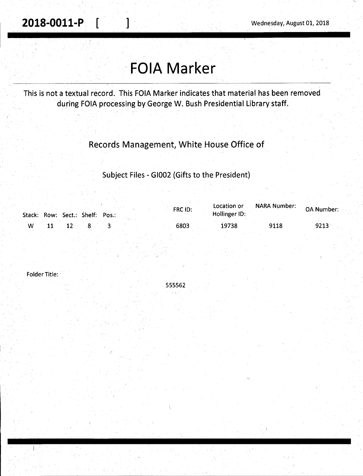**2018-0011-P.**  $\begin{bmatrix} 1 & 1 \end{bmatrix}$  Wednesday, August 01, 2018

'

# -**FOIA Marker**

·---------------------------------------

This is not a textual record. This FOIA Marker indicates that material has been removed during FOIA processing by George W. Bush Presidential Library staff.

## Records Management, White House Office of

### Subject Files - GI002 (Gifts to the President)

|            | Stack: Row: Sect.: Shelf: Pos.: | FRC ID: | Location or<br>Hollinger ID: | NARA Number: | <b>OA Number:</b> |
|------------|---------------------------------|---------|------------------------------|--------------|-------------------|
| ${\bf 11}$ | $\sim$ 12 8 8                   | 6803    | 19738                        | 9118         | 9213              |

Folder Title:

555562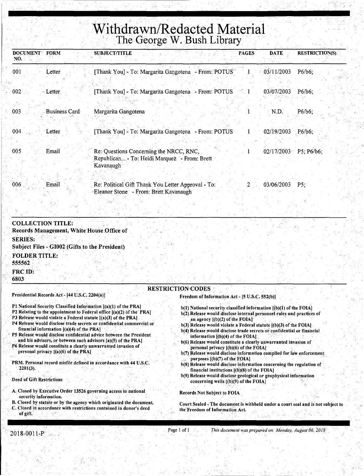# **Withdrawn/Redacted Material**  The George W. Bush Library

| <b>DOCUMENT</b><br>NO. | <b>FORM</b>   | <b>SUBJECT/TITLE</b><br><b>PAGES</b>                                                                   | <b>DATE</b>         | <b>RESTRICTION(S)</b> |
|------------------------|---------------|--------------------------------------------------------------------------------------------------------|---------------------|-----------------------|
| 001                    | Letter        | [Thank You] - To: Margarita Gangotena - From: POTUS                                                    | 03/11/2003          | P6/b6;                |
| 002                    | Letter        | [Thank You] - To: Margarita Gangotena - From: POTUS                                                    | 03/07/2003          | P6/b6;                |
| 003                    | Business Card | Margarita Gangotena                                                                                    | N.D.                | $P6/b6$ ;             |
| 004                    | Letter        | [Thank You] - To: Margarita Gangotena - From: POTUS                                                    | $02/19/2003$ P6/b6; |                       |
| 005                    | Email         | Re: Questions Concerning the NRCC, RNC,<br>Republican - To: Heidi Marquez - From: Brett<br>'Kavanaugh∴ | 02/17/2003          | $P5$ ; P6/b6;         |
| $006^{\circ}$          | Email         | Re: Political Gift Thank You Letter Approval - To:<br>Eleanor Stone - From: Brett Kavanaugh            | 03/06/2003          | P5:                   |

### COLLECTION TITLE: Records Management, White House Office of SERIES: Subject Files - GI002 (Gifts to the President) FOLDER TITLE: 555562 FRC ID: '6803 **RESTRICTION**<sup>CODES</sup> Presidential Records Act - [44 U.S.C. 2204(8)) Freedom of Information Act - [5 U.S.C. 552(b)]

- Pl National Security Classified information [(a)(l) of the PRA)
- P2 Relating to the appointment to Federal office  $[(a)(2)$  of the PRA]
- P3 Release would violate a Federal statute  $[(a)(3)$  of the PRA]
- P4 Release would disclose trade secrets or confidential commercial or financial information  $[(a)(4)$  of the PRA]
- P5 Release would disclose confidential advice between the President and his advisors, or between such advisors [a)(S) of the PRAJ
- P6 Release would constitute a clearly unwarranted invasion of personal privacy  $[(a)(6)$  of the PRA]
- PRM. Personal record misfile defined in accordance with 44 U.S:C.  $2201(3)$ .

#### Deed of Gift Restrictions

- A. Closed by Executive.Order 13526,governing access to national. security information.
- B. Closed by statute or by the agency which originated the document. C. Closed in accordance with restrictions contained in donor's deed of gift.
- $b(1)$  National security classified information  $[(b)(1)$  of the FOIA) b(2). Release would disclose internal personnel rules and practices of
- an agency  $[(b)(2)$  of the  $FOIA]$
- $b(3)$ . Release would violate a Federal statute  $[(b)(3)$  of the FOIA] b(4) Release would disclose trade secrets or confidential or financial
- $\inf$ ormation  $[(b)(4)$  of the FOIAL: b(6) Release would constitute a clearly unwarranted invasion of
- personal privacy  $[(b)(6)$  of the FOIA] b(7) Release would disclose information compiled for law enforcement
- purposes  $[(b)(7)$  of the FOIA]
- b(S) Release would disclose information concerning the regulation of financial institutions.  $[(b)(8)$  of the FOIA]
- b(9) Release would disclose geological or geophysical information concerning wells  $[(b)(9)$  of the FOIA]

#### Records Not Subject to FOIA .

Court Sealed - The document is withheld under a court seal and is not subject to the' Freedom of Information Act.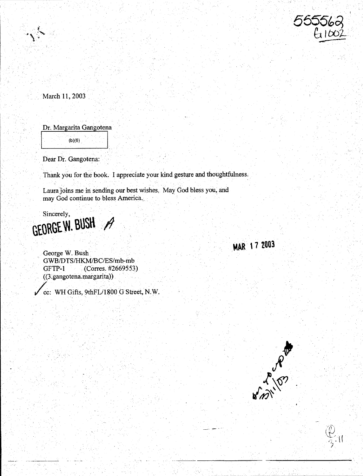

March 11, 2003

Dr. Margarita Gangotena

 $(b)(6)$ 

Dear Dr. Gangotena:

Thank you for the book. I appreciate your kind gesture and thoughtfulness.

Laura joins me in sending our best wishes. May God bless you, and may God continue to bless America...

Sincerely, GEORGE W. BUSH  $\mathscr{P}$ 

> George W. Bush GWB/DTS/HKM/BC/ES/mb-mb GFTP-1 (Corres. #2669553) ( (3 ~gangotena.margarita))

cc: WH Gifts, 9thFL/1800 G Street, N.W.



MAR 17 2003

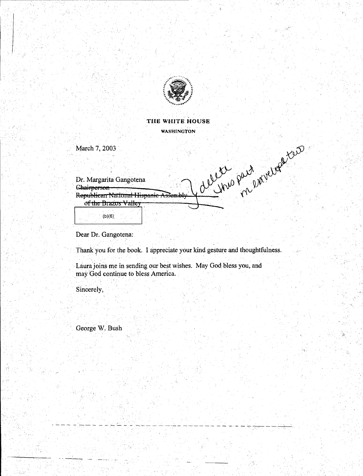

**THE** WHITE **HOUSE**  WASHINGTON

March 7, 2003

Calling Particular too Dr. Margarita Gangotena **Chairperson** Republican National Hispanic Assembly of the Brazos Valley  $(b)(6)$ 

Dear Dr. Gangotena:

Thank you for the book. I appreciate your kind gesture and thoughtfulness.

- --- - -.·- - - - -,·-·- - - --- --------- -- -··- -:--.-, ------.

Laura joins me in sending our best wishes. May God bless you, and may God continue to bless America.

Sincerely,

- 1990)<br>- 1990 - 1990 - 1990<br>- 1990 - 1990 - 1990

George W. Bush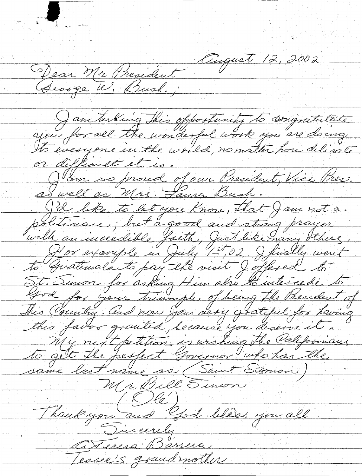August 12, 2002 Dear Mr President Jam taking this oppostunity to congratulate to everyone en the world, no matter pour delivate or difficult et is. J'am so proud of our President, Vice Pres. as well as Mrs. Laura Bush. J'd like to let you know, that Jam not a with an incredible faith, Just like many others. Hor example in July 1st, 02. I finally went St. Sinon for asking Him also the intereste to this favor granted, because you deserve it. My next petition is urshing the Californians to get the perfect Governor, who has the Mr. Bill Sinon  $-(\textcircled{k})$ Thoukyou and God bless you all Tincerely Ateresa Bassera Lessie's grandmother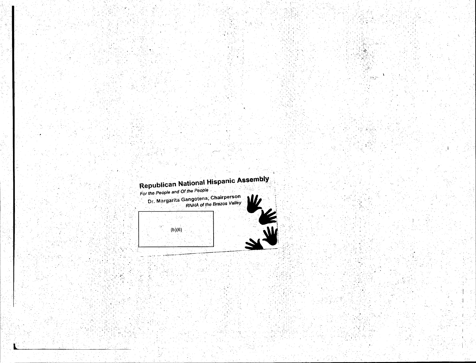

For the People and Of the People

42

Dr. Margarita Gangotena, Chairperson<br>RNHA of the Brazos Valley



уğ. ٠,

> $\mathcal{L}^{\mathcal{L}}$  $\mathcal{O}(\sqrt{2})$

 $(b)(6)$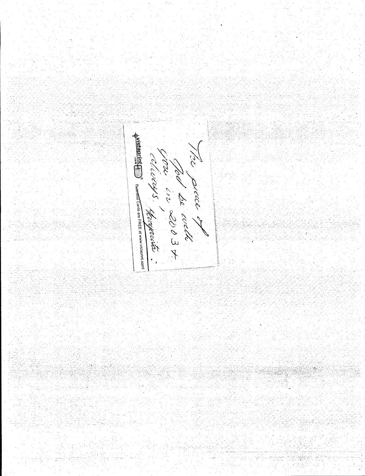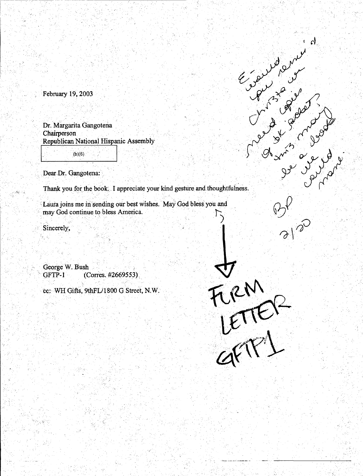February 19, 2003

Dr. Margarita Gangotena **Chairperson** Republican National Hispanic Assembly

 $(b)(6)$ 

Dear Dr. Gangotena:

Crewland and the state Thank you for the book. I appreciate your kind gesture and thoughtfulness.

 $\mathcal{A}$ 

3120

FIRM<br>LETTER

Laura joins me in sending our best wishes. May God bless you and may God continue to bless America.

Sincerely,

George W. Bush (Corres. #2669553). GFTP-1

cc: WH Gifts, 9thFL/1800 G Street, N.W.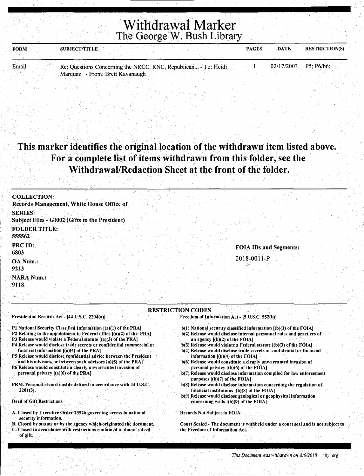# Withdrawal Marker The George W. Bush Library

| <b>FORM</b> | <b>SUBJECT/TITLE</b> |  |  | <b>PAGES</b> | <b>DATE</b>                                                                                                     | <b>RESTRICTION(S)</b> |
|-------------|----------------------|--|--|--------------|-----------------------------------------------------------------------------------------------------------------|-----------------------|
|             |                      |  |  |              |                                                                                                                 |                       |
|             |                      |  |  |              | the contract of the contract of the contract of the contract of the contract of the contract of the contract of |                       |

Email Re: Questions Concerning the NRCC, RNC, Republican... - To: Heidi  $1 \qquad 02/17/2003 \qquad P5$ ; P6/b6; Marquez - From: Brett Kavanaugh

### This marker identifies the original location of the withdrawn item listed above. For a complete list of items withdrawn from this folder, see the Withdrawal/Redaction Sheet at the front of the folder.

| <b>COLLECTION:</b>                                               |                               |
|------------------------------------------------------------------|-------------------------------|
| Records Management, White House Office of                        |                               |
| <b>SERIES:</b><br>Subject Files - GI002 (Gifts to the President) |                               |
| <b>FOLDER TITLE:</b><br>555562                                   |                               |
| <b>FRC ID:</b><br>6803                                           | <b>FOIA IDs and Segments:</b> |
| OA Num.:<br>9213                                                 | 2018-0011-P                   |
| <b>NARA Num.:</b><br>9118                                        |                               |

#### RESTRICTION CODES

Presidential Records Act - [44 U.S.C. 2204(a)]

Pl National Security Classified Information [(a)(1) of the PRA]

- P2 Relating to the appointment to Federal office [(a)(2) of the PRA)
- P3 Release would violate a Federal statute  $[(a)(3)$  of the PRA]
- P4 Release would disclose trade secrets or confidential commercial or financial information  $[(a)(4)$  of the PRA]
- P5 Release would disclose confidential advice between the President and his advisors, or between such advisors [a)(5) of the PRA]
- P6 Release would constitute a clearly unwarranted invasion of personal privacy  $[(a)(6)$  of the PRA]
- PRM. Personal record misfile defined in accordance with 44 U.S.C.  $2201(3)$ .

Deed of Gift Restrictions

- A. Closed by Executive Order 13526 governing access to national security information.
- B. Closed by statute or by the agency which originated the document. C. Closed in accordance with restrictions contained in donor's deed of gift.

Freedom of Information Act - [5 U.S.C. 552(b)]

- $b(1)$  National security classified information  $[(b)(1)$  of the FOIA]
- b(2) Release would disclose internal personnel rules and practices of an agency [(b)(2) of the FOIA]
- b(3) Release would violate a Federal statute [(b)(3) of the FOIA]
- b(4) Release would disclose trade secrets or confidential or financial information  $[(b)(4)$  of the FOIA]
- b(6) Release would constitute a clearly unwarranted invasion of personal privacy [(b)(6) of the FOIA)
- b(7) Release would disclose information compiled for law enforcement purposes  $[(b)(7)$  of the FOIA]
- b(8) Release would disclose information concerning the regulation of financial institutions [(b)(S) of the FOIA)
- b(9) Release would disclose geological or geophysical information concerning wells  $[(b)(9)$  of the FOIA)

.Records Not Subject to FOIA

Court Sealed - The. document is withheld under a court seal and is not subject to the Freedom of Information Act.